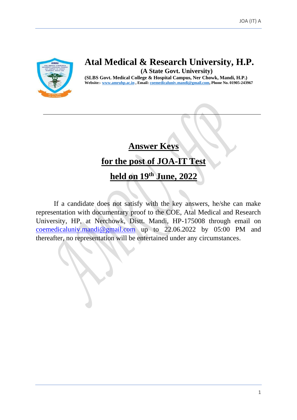

# **Atal Medical & Research University, H.P.**

**(A State Govt. University)**

**(SLBS Govt. Medical College & Hospital Campus, Ner Chowk, Mandi, H.P.) Website:- [www.amruhp.ac.in](http://www.amruhp.ac.in/) , Email: [coemedicaluniv.mandi@gmail.com,](mailto:coemedicaluniv.mandi@gmail.com) Phone No. 01905-243967**

# **Answer Keys for the post of JOA-IT Test**

# **held on 19 th June, 2022**

If a candidate does not satisfy with the key answers, he/she can make representation with documentary proof to the COE, Atal Medical and Research University, HP, at Nerchowk, Distt. Mandi, HP-175008 through email on [coemedicaluniv.mandi@gmail.com](mailto:coemedicaluniv.mandi@gmail.com) up to 22.06.2022 by 05:00 PM and thereafter, no representation will be entertained under any circumstances.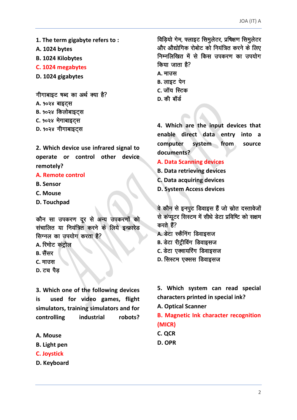- **1. The term gigabyte refers to :**
- **A. 1024 bytes**
- **B. 1024 Kilobytes**
- **C. 1024 megabytes**
- **D. 1024 gigabytes**

गीगाबाइट षब्द का अर्थ क्या है?

- A. **90२४ बाइट्स**
- **B.** १०२४ किलोबाइट्स
- **C. १०२४ मेगाबाइट्स**
- D. **90२४ गीगाबाइट्स**

**2. Which device use infrared signal to operate or control other device remotely?**

#### **A. Remote control**

- **B. Sensor**
- **C. Mouse**
- **D. Touchpad**

कौन सा उपकरण दूर से अन्य उपकरणों को संचालित या नियंत्रित करने के लिये इन्फ्रारेड सिग्नल का उपयोग करता है?

- **A.** रिमोट कंट्रोल
- **B.** सैंसर
- **C.** माउस
- **D.** टच पैड

**3. Which one of the following devices is used for video games, flight simulators, training simulators and for controlling industrial robots?**

- **A. Mouse**
- **B. Light pen**
- **C. Joystick**
- **D. Keyboard**

विड़ियो गेम, फ्लाइट सिमुलेटर, प्रषिक्षण सिमुलेटर और औद्योगिक रोबोट को नियंत्रित करने के लिए निम्नलिखित में से किस उपकरण का उपयोग  $\theta$ किया जाता है? **A. माउस B.** लाइट पेन **C.** जॉय स्टिक **D.** की बॉर्ड

**4. Which are the input devices that enable direct data entry into a computer system from source documents?**

**A. Data Scanning devices**

- **B. Data retrieving devices**
- **C. Data acquiring devices**
- **D. System Access devices**

वे कौन से इनपुट डिवाइस हैं जो स्रोत दस्तावेजों से कंप्यूटर सिस्टम में सीधे डेटा प्रविष्टि को सक्षम करते हैं?

- **A. डेटा स्कैनिंग डिवाइसज**
- **B.** डेटा रीट्रीविंग डिवाइसज
- **C.** डेटा एक्वायरिंग डिवाइसज
- **D.** सिस्टम एक्सस डिवाइसज

**5. Which system can read special characters printed in special ink?**

**A. Optical Scanner**

**B. Magnetic Ink character recognition (MICR)**

- **C. QCR**
- **D. OPR**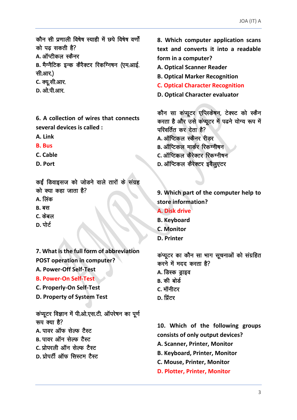कौन सी प्रणाली विषेष स्याही में छपे विषेष वर्णों को पढ सकती है?

A. ऑप्टीकल स्कैनर

B. मैग्नैटिक इन्क कैरैक्टर रिकग्निषन (एम.आई. सी.आर.)

- C. क्यू.सी.आर.
- D. ओ पी आर

6. A collection of wires that connects several devices is called :

- A. Link
- **B.** Bus
- C. Cable
- D. Port

कई डिवाइसज को जोडने वाले तारों के संग्रह को क्या कहा जाता है?

- A. लिंक
- **B.** बस
- C. केबल
- **D.** पोर्ट
- 7. What is the full form of abbreviation
- **POST operation in computer?** A. Power-Off Self-Test
- **B. Power-On Self-Test**
- 
- C. Properly-On Self-Test
- D. Property of System Test

कंप्यूटर विज्ञान में पी.ओ.एस.टी. ऑपरेषन का पूर्ण रूप क्या है?

- A. पावर ऑफ सेल्फ टैस्ट
- **B.** पावर ऑन सेल्फ टैस्ट
- C पोपरली ऑन सेल्फ टैस्ट
- <u>D. प्रोपर्टी ऑफ सिस्टम टैस्ट</u>

8. Which computer application scans text and converts it into a readable form in a computer?

- **A. Optical Scanner Reader**
- **B. Optical Marker Recognition**
- **C. Optical Character Recognition**
- D. Optical Character evaluator

कौन सा कंप्यूटर एप्लिकेषन, टेक्स्ट को स्कैन करता है और उसे कंप्यूटर में पढने योग्य रूप में परिवर्तित कर देता है?

- A. ऑप्टिकल स्कैनर रीडर
- **B.** ऑप्टिकल मार्कर रिकग्नीषन
- C. ऑप्टिकल कैरेक्टर रिकग्नीषन
- D. ऑप्टिकल कैरेक्टर इवैलुएटर

9. Which part of the computer help to store information?

- **A. Disk drive**
- **B. Keyboard**
- **C. Monitor**
- **D. Printer**

कंप्यूटर का कौन सा भाग सूचनाओं को संग्रहित करने में मदद करता है?

- A. डिस्क ड्राइव
- B. की बोर्ड
- C. मॉनीटर
- D. प्रिंटर

10. Which of the following groups consists of only output devices?

- A. Scanner, Printer, Monitor
- **B. Keyboard. Printer. Monitor**
- C. Mouse, Printer, Monitor
- D. Plotter, Printer, Monitor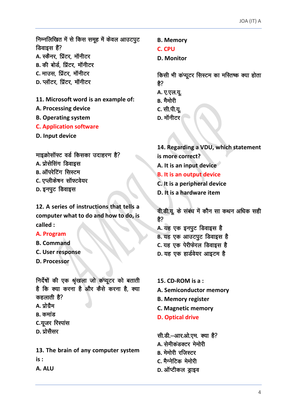निम्नलिखित में से किस समूह में केवल आउटपूट डिवाइस हैं? A. स्कैनर, प्रिंटर, मॉनीटर **B.** की बोर्ड, प्रिंटर, मॉनीटर **C.** माउस, प्रिंटर, मॉनीटर **D.** प्लॉटर, प्रिंटर, मॉनीटर

**11. Microsoft word is an example of:**

**A. Processing device**

**B. Operating system**

- **C. Application software**
- **D. Input device**

माइक्रोसॉफ्ट वर्ड किसका उदाहरण है?

- A. प्रोसेसिंग डिवाइस
- **B.** ऑपरेटिंग सिस्टम
- **C.** एप्लीकेषन सॉफ्टवेयर
- **D.** इनपुट डिवाइस

**12. A series of instructions that tells a computer what to do and how to do, is called :**

## **A. Program**

- **B. Command**
- **C. User response**
- **D. Processor**

निर्देषों की एक श्रृंखला जो कंप्यूटर को बताती है कि क्या करना है और कैसे करना है, क्या  $\sigma$ हलाती है?

- **A.** प्रोग्रैम
- **B.** कमांड
- **C.यूजर रिस्पांस**
- **D.** प्रोसैसर

**13. The brain of any computer system is :**

**A. ALU** 

**B. Memory**

**C. CPU** 

**D. Monitor**

किसी भी कंप्यूटर सिस्टम का मस्तिष्क क्या होता हे?

- **A.** ए.एल.यू.
- **B.** मैमोरी
- **C.** सी.पी.यू.
- **D.** मॉनीटर।

**14. Regarding a VDU, which statement is more correct? A. It is an input device B. It is an output device C. It is a peripheral device**

**D. It is a hardware item**

वी.डी.यू. के संबंध में कौन सा कथन अधिक सही है?

- A. यह एक इनपूट डिवाइस है
- **B.** यह एक आउटपूट डिवाइस है
- **C.** यह एक पेरीफेरल डिवाइस है
- **D.** यह एक हार्डवेयर आइटम है
- **15. CD-ROM is a :**
- **A. Semiconductor memory**
- **B. Memory register**
- **C. Magnetic memory**
- **D. Optical drive**

सी.डी.-आर.ओ.एम. क्या है? A. सेमीकंडक्टर मेमोरी **B.** मेमोरी रजिस्टर **C.** मैग्नेटिक मेमोरी **D.** ऑप्टीकल ड्राइव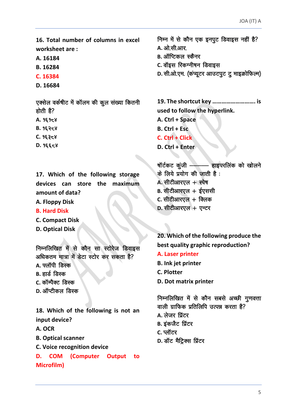16. Total number of columns in excel worksheet are:

A. 16184

- B. 16284
- C. 16384
- D. 16684

एक्सेल वर्कषीट में कॉलम की कूल संख्या कितनी होती है?

- A. 96958
- **B. 95258**
- $C.95358$
- $D.9\xi\xi58$

17. Which of the following storage devices can store the maximum amount of data?

- A. Floppy Disk
- **B. Hard Disk**
- **C. Compact Disk**
- **D. Optical Disk**

निम्नलिखित में से कौन सा स्टोरेज डिवाइस अधिकतम मात्रा में डेटा स्टोर कर सकता है? **A.** फ्लॉपी डिस्क

**B.** हार्ड डिस्क

- C. कॉम्पैक्ट डिस्क
- D. ऑप्टीकल डिस्क

18. Which of the following is not an input device?

A. OCR

**B. Optical scanner** 

- C. Voice recognition device
- Output to D. **COM** (Computer **Microfilm)**

निम्न में से कौन एक इनपूट डिवाइस नहीं है? A. ओ.सी.आर. **B.** ऑप्टिकल स्कैनर C. वॉइस रिकग्नीषन डिवाइस D. सी.ओ.एम. (कंप्यूटर आउटपूट टू माइक्रोफिल्म) 19. The shortcut key .............................. is

used to follow the hyperlink.

- A. Ctrl + Space
- $B.$  Ctrl + Esc.
- C. Ctrl + Click
- D. Ctrl + Enter

षॉर्टकट कूंजी -- हाइपरलिंक को खोलने के लिये प्रयोग की जाती है: A. सीटीआरएल + स्पेष B. सीटीआरएल + ईएससी C. सीटीआरएल + क्लिक  $D.$  सीटीआरएल + एन्टर

20. Which of the following produce the best quality graphic reproduction?

- A. Laser printer
- **B.** Ink jet printer
- C. Plotter
- D. Dot matrix printer

निम्नलिखित में से कौन सबसे अच्छी गुणवत्ता वाली ग्राफिक प्रतिलिपि उत्पन्न करता है? **A. लेजर प्रिंटर B.** इंकजैट प्रिंटर C. प्लॉटर D. डॉट मैट्रिक्स प्रिंटर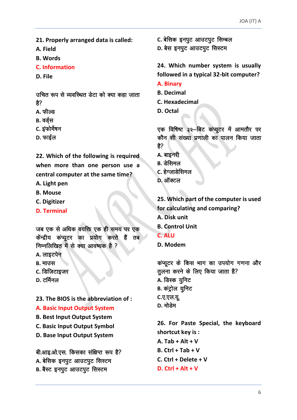**21. Properly arranged data is called:**

**A. Field** 

**B. Words**

**C. Information** 

**D. File**

उचित रूप से व्यवस्थित डेटा को क्या कहा जाता  $\frac{4}{5}$ ?

- A. फील्ड
- **B.** वर्डस
- **C.** इंफोर्मेषन
- **D.** फाईल

**22. Which of the following is required when more than one person use a central computer at the same time?**

**A. Light pen** 

- **B. Mouse**
- **C. Digitizer**
- **D. Terminal**

जब एक से अधिक वयक्ति एक ही समय पर एक केंन्द्रीय कंप्यूटर का प्रयोग करते हैं तब निम्नलिखित में से क्या आवष्यक है ?

- A. लाइटपेन
- **B.** माउस
- **C.** डिजिटाइजर
- **D. टर्मिनल**

**23. The BIOS is the abbreviation of :**

**A. Basic Input Output System** 

**B. Best Input Output System**

**C. Basic Input Output Symbol** 

**D. Base Input Output System**

बी.आइ.ओ.एस. किसका संक्षिप्त रूप है? A. बेसिक इनपुट आउटपुट सिस्टम **B.** बैस्ट इनपुट आउटपुट सिस्टम

**C.** बेसिक इनपुट आउटपुट सिम्बल

D. बेस इनपूट आउटपूट सिस्टम

**24. Which number system is usually followed in a typical 32-bit computer?**

- **A. Binary**
- **B. Decimal**
- **C. Hexadecimal**
- **D. Octal**

एक विषिष्ट ३२-बिट कंप्यूटर में आमतौर पर कौन सी संख्या प्रणाली का पालन किया जाता है?

- **A. बाइनरी**
- **B.** डेसिमल
- **C.** हेग्जाडेसिमल
- **D.** ऑक्टल

**25. Which part of the computer is used for calculating and comparing? A. Disk unit B. Control Unit C. ALU D. Modem**

कंप्यूटर के किस भाग का उपयोग गणना और तलना करने के लिए किया जाता है? **A.** डिस्क युनिट **B.** कंट्रोल यूनिट **C.ए.एल.यू. D. मो**लेम

**26. For Paste Special, the keyboard shortcut key is : A. Tab + Alt + V B. Ctrl + Tab + V C. Ctrl + Delete + V D. Ctrl + Alt + V**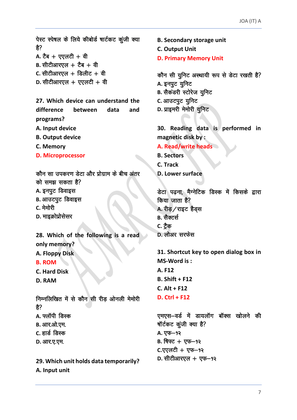पेस्ट स्पेषल के लिये कीबोर्ड षार्टकट कुंजी क्या हे?  $A. \, \dot{C}$ ब + एएलटी + वी  $B.$  सीटीआरएल  $+$  टैब  $+$  वी **C.** सीटीआरएल + डिलीट + वी **D.** सीटीआरएल + एएलटी + वी **27. Which device can understand the difference between data and programs? A. Input device B. Output device C. Memory D. Microprocessor** कौन सा उपकरण डेटा और प्रोग्राम के बीच अंतर को समझ सकता है? A. इनपुट डिवाइस **B.** आउटपूट डिवाइस **C.** मेमोरी **D.** माइक्रोप्रोसेसर **28. Which of the following is a read only memory? A. Floppy Disk B. ROM C. Hard Disk D. RAM** निम्नलिखित में से कौन सी रीड ओनली मेमोरी  $\frac{2}{5}$ A. फ्लॉपी डिस्क **B.** आर.ओ.एम. **C.** हार्ड डिस्क **D.** आर.ए.एम.

**29. Which unit holds data temporarily? A. Input unit**

**B. Secondary storage unit C. Output Unit D. Primary Memory Unit** कौन सी युनिट अस्थायी रूप से डेटा रखती है? A. इनपुट यूनिट **B.** सैकडरी स्टोरेज यूनिट **C.** आउटपूट यूनिट **D.** प्राइमरी मेमोरी यूनिट **30. Reading data is performed in magnetic disk by : A. Read/write heads B. Sectors C. Track D. Lower surface** डेटा पढ़ना, मैग्नेटिक डिस्क में किसके द्वारा  $\theta$ किया जाता है? A. रीड़ / राइट हैड़स **B.** सैक्टर्स **C.** ट्रैक **D.** लोअर सरफेस **31. Shortcut key to open dialog box in MS-Word is : A. F12 B. Shift + F12 C. Alt + F12 D. Ctrl + F12** एमएस-वर्ड में डायलॉग बॉक्स खोलने की षॉर्टकट कूंजी क्या है? A. एफ–१२ **B.** पिफ्ट + एफ-१२ **C.**एएलटी + एफ-१२ **D.** सीटीआरएल + एफ- १२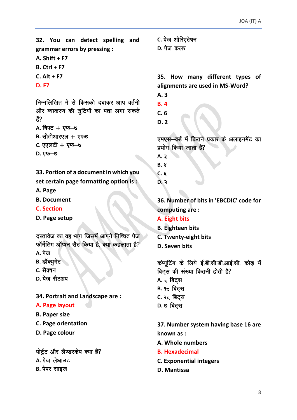32. You can detect spelling and grammar errors by pressing : A. Shift  $+ F7$ 

 $B.$  Ctrl + F7

 $C.$  Alt + F7

**D.F7** 

निम्नलिखित में से किसको दबाकर आप वर्तनी और व्याकरण की त्रुटियों का पता लगा सकते ੜੇ? A. षिफ्ट + एफ-७

- **B.** सीटीआरएल + एफ७
- C. एएलटी + एफ-७
- **D. एफ-७**

33. Portion of a document in which you set certain page formatting option is:

- A. Page
- **B. Document**
- **C. Section**
- D. Page setup

दस्तावेज का वह भाग जिसमें आपने निष्चित पेज फॉर्मेटिंग ऑप्षन सैट किया है, क्या कहलाता है?

- **A.** पेज
- **B.** डॉक्यमेंट
- C. सैक्षन
- D. पेज सैटअप

34. Portrait and Landscape are:

#### A. Page layout

- **B. Paper size**
- C. Page orientation
- D. Page colour

पोर्ट्रेट और लैण्डस्केप क्या हैं? A. पेज लेआउट **B.** पेपर साइज

C. पेज ओरिएंटेषन ת לה $\pi$ 

35. How many different types of alignments are used in MS-Word?

- $A.3$
- $B.4$
- $C.6$
- $D.2$

एमएस-वर्ड में कितने प्रकार के अलाइनमेंट का प्रयोग किया जाता है?

- A.  $3$
- $B.8$
- $C. \epsilon$
- $D.3$

36. Number of bits in 'EBCDIC' code for computing are:

- A. Eight bits
- **B.** Eighteen bits
- C. Twenty-eight bits
- D. Seven hits

कंप्यूटिंग के लिये ई.बी.सी.डी.आई.सी. कोड़ में बिट्स की संख्या कितनी होती है? A. <del>८</del> बिट्स B. १८ बिट्स C. २८ बिट्स D. ७ बिट्स

37. Number system having base 16 are known as :

- A. Whole numbers
- **B. Hexadecimal**
- **C. Exponential integers**
- D. Mantissa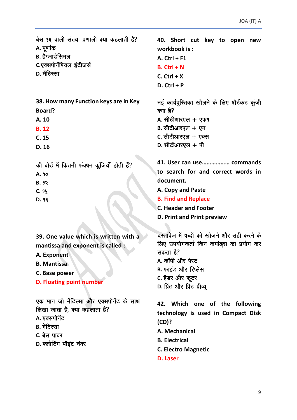बेस १६ वाली संख्या प्रणाली क्या कहलाती है? A. पर्णांक

- B. हैग्जाडेसिमल
- C.एक्सपोनेंषियल इंटीजर्स
- **D. मेंटि**स्सा
- 38. How many Function keys are in Key
- **Board?** A. 10
- **B.12**
- $C. 15$
- $D.16$

की बोर्ड में कितनी फंक्षन कूंजियाँ होती हैं?

- A. 90
- $B.99$
- $C.99$
- D. 98

39. One value which is written with a mantissa and exponent is called :

- A. Exponent
- **B. Mantissa**
- C. Base power
- **D. Floating point number**

एक मान जो मेंटिस्सा और एक्सपोनेंट के साथ लिखा जाता है, क्या कहलाता है?

- A. एक्सपोनेंट
- **B.** मेंटिस्सा
- C. बेस पावर
- D. फ्लोटिंग पॉइंट नंबर

40. Short cut key to open new workbook is: A.  $Ctrl + F1$  $B.$  Ctrl + N  $C.$  Ctrl + X  $D.$  Ctrl + P नई कार्यपुस्तिका खोलने के लिए षॉर्टकट कूंजी क्या है? A. सीटीआरएल  $+$  एफ?

- $B.$  सीटीआरएल + एन C. सीटीआरएल  $+$  एक्स
- $D.$  सीटीआरएल + पी
- to search for and correct words in document.
- A. Copy and Paste
- **B. Find and Replace**
- **C. Header and Footer**
- **D. Print and Print preview**

दस्तावेज में षब्दों को खोजने और सही करने के लिए उपयोगकर्ता किन कमांडस का प्रयोग कर सकता है?

- A. कॉपी और पेस्ट
- B. फाइंड और रिप्लेस
- C. हैडर और फूटर
- D. प्रिंट और प्रिंट प्रीव्य

42. Which one of the following technology is used in Compact Disk  $(CD)?$ 

- A. Mechanical
- **B.** Electrical
- **C. Electro Magnetic**
- **D. Laser**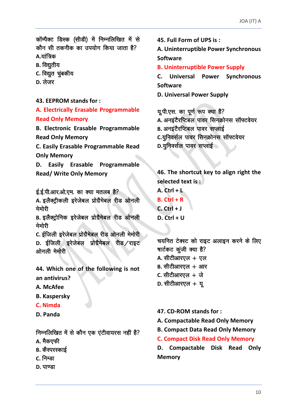कॉम्पैक्ट डिस्क (सीडी) में निम्नलिखित में से कौन सी तकनीक का उपयोग किया जाता है? A.यांत्रिक

- **B.** विद्यतीय
- C. विद्युत चूंबकीय
- $D.$  लेजर

43. EEPROM stands for:

A. Electrically Erasable Programmable **Read Only Memory** 

**B. Electronic Erasable Programmable Read Only Memory** 

C. Easily Erasable Programmable Read **Only Memory** 

D. Easily Erasable Programmable **Read/ Write Only Memory** 

ई.ई.पी.आर.ओ.एम. का क्या मतलब है?

A. इलैक्ट्रीकली इरेजेबल प्रोग्रैमेबल रीड ओनली मेमोरी

B. इलैक्ट्रोनिक इरेजेबल प्रोग्रैमेबल रीड ओनली मेमोरी

C. ईजिली इरेजेबल प्रोग्रैमेबल रीड ओनली मेमोरी D. ईजिली इरेजेबल प्रोग्रैमेबल रीड/राइट ओनली मेमोरी

44. Which one of the following is not an antivirus?

- A. McAfee
- **B. Kaspersky**
- C. Nimda
- D. Panda

## निम्नलिखित में से कौन एक एंटीवायरस नहीं है?

- A. मैकएफी
- **B.** कैस्परस्काई
- C. निम्डा
- D. पाण्डा

45. Full Form of UPS is:

A. Uninterruptible Power Synchronous **Software** 

**B. Uninterruptible Power Supply** 

Universal Power Synchronous  $\mathsf{C}$ . **Software** 

**D. Universal Power Supply** 

यू.पी.एस. का पूर्ण रूप क्या है? A. अनइटैरप्टिबल पावर सिनक्रोनस सॉफ्टवेयर **B. अनइटैरप्टिबल पावर सप्लाई** C.यूनिवर्सल पावर सिनक्रोनस सॉफ्टवेयर D.यूनिवर्सल पावर सप्लाई

46. The shortcut key to align right the selected text is:

 $A.$  Ctrl +  $L$  $B.$  Ctrl + R  $C.$  Ctrl + J  $D.$  Ctrl + U

चयनित टेक्स्ट को राइट अलाइन करने के लिए षार्टकट कूंजी क्या है? A. सीटीआरएल  $+$  एल  $B.$  सीटीआरएल + आर C. सीटीआरएल  $+$  जे  $D.$  सीटीआरएल + यू

- 47. CD-ROM stands for:
- A. Compactable Read Only Memory
- **B. Compact Data Read Only Memory**
- **C. Compact Disk Read Only Memory**

D. Compactable Disk Read Only **Memory**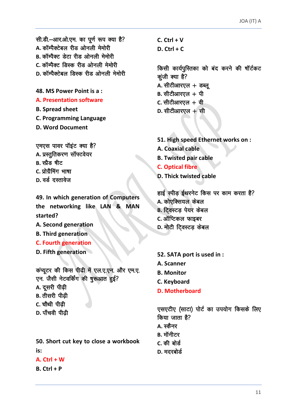सी.डी.-आर.ओ.एम. का पूर्ण रूप क्या है? A. कॉम्पैक्टेबल रीड ओनली मेमोरी B. कॉम्पैक्ट डेटा रीड ओनली मेमोरी C. कॉम्पैक्ट, डिस्क रीड ओनली मेमोरी D. कॉम्पैक्टेबल डिस्क रीड ओनली मेमोरी

48. MS Power Point is a:

#### **A. Presentation software**

**B. Spread sheet** 

**C. Programming Language** 

**D. Word Document** 

एमएस पावर पॉइंट क्या है? A. प्रस्तुतिकरण सॉफ्टवेयर B. स्प्रैड षीट C. प्रोग्रैमिंग भाषा D. वर्ड दस्तावेज

49. In which generation of Computers the networking like LAN & MAN started?

- A. Second generation
- **B. Third generation**
- **C. Fourth generation**
- D. Fifth generation

कंप्यूटर की किस पीढी में एल.ए.एन. और एम.ए. एन. जैसी नेटवर्किंग की षुरूआत हुई?

A. दूसरी पीढी

- **B.** तीसरी पीढी
- C. चौथी पीढी
- D. पाँचवी पीढी

50. Short cut key to close a workbook is:

#### A.  $Ctrl + W$

 $B.$  Ctrl + P

 $C.$  Ctrl + V  $D.$  Ctrl + C

किसी कार्यपुस्तिका को बंद करने की षॉर्टकट कुंजी क्या है? A. सीटीआरएल  $+$  डब्लू  $B.$  सीटीआरएल + पी  $c.$  सीटीआरएल  $+$  वी D. सीटीआरएल  $+$  सी

51. High speed Ethernet works on : A. Coaxial cable **B. Twisted pair cable C. Optical fibre D. Thick twisted cable** 

हाई स्पीड़ ईथरनेट किस पर काम करता है? A. कोएक्सियल केबल **B.** टिवस्टड पेयर केबल C. ऑप्टिकल फाइबर D. मोटी टिवस्टड़ केबल

52. SATA port is used in :

- A. Scanner
- **B. Monitor**
- C. Keyboard
- **D. Motherboard**

एसएटीए (साटा) पोर्ट का उपयोग किसके लिए किया जाता है? **A.** स्कैनर

- в. मॉनीटर
- C. की बोर्ड
- D. मदरबोर्ड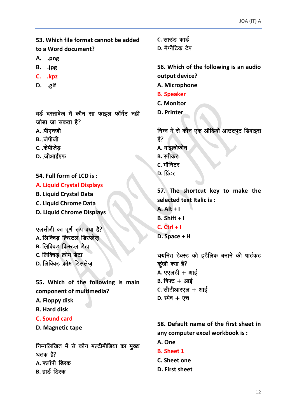53. Which file format cannot be added to a Word document?

- A. .png
- B. .jpg
- C. .kpz
- D. .gif

वर्ड दस्तावेज में कौन सा फाइल फॉर्मेट नहीं जोड़ा जा सकता है?

- A. पीएनजी
- **B.** जेपीजी
- C. केपीजेड
- D. जीआईएफ

54. Full form of LCD is:

#### **A. Liquid Crystal Displays**

- **B. Liquid Crystal Data**
- C. Liquid Chrome Data
- **D. Liquid Chrome Displays**

एलसीडी का पूर्ण रूप क्या है?

- A. लिक्विड क्रिस्टल डिस्प्लेज
- **B.** लिक्विड क्रिस्टल डेटा
- C. लिक्विड क्रोम डेटा
- D. लिक्विड क्रोम डिस्प्लेज

55. Which of the following is main component of multimedia?

- A. Floppy disk
- **B.** Hard disk
- **C. Sound card**

D. Magnetic tape

निम्नलिखित में से कौन मल्टीमीडिया का मुख्य ਬਟਨ ਵੈ $\overline{?}$ A. फ्लॉपी डिस्क **B.** हार्ड डिस्क

C. साउंड कार्ड

D. मैग्नैटिक टेप

56. Which of the following is an audio output device?

- A. Microphone
- **B. Speaker**
- **C. Monitor**
- D. Printer

निम्न में से कौन एक ऑडियो आउटपुट डिवाइस है? A. माइक्रोफोन **B.** स्पीकर

- C. मॉनिटर
- D. प्रिंटर

57. The shortcut key to make the selected text Italic is:  $A.$  Alt + I  $B.$  Shift + I  $C.$  Ctrl + I D. Space + H

चयनित टेक्स्ट को इटैलिक बनाने की षार्टकट कूंजी क्या है? A. एएलटी  $+$  आई  $B.$  षिफ्ट + आई  $c.$  सीटीआरएल + आई  $D.$  स्पेष + एच

58. Default name of the first sheet in any computer excel workbook is:

- A. One
- **B.** Sheet 1
- C. Sheet one
- D. First sheet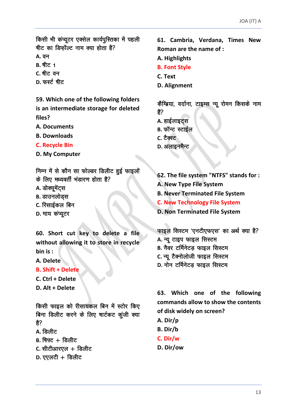किसी भी कंप्यूटर एक्सेल कार्यपुस्तिका में पहली षीट का डिफॉल्ट नाम क्या होता है?

**A.** वन

- **B.** षीट. 1
- C. षीट वन
- D. फर्स्ट षीट

59. Which one of the following folders is an intermediate storage for deleted files?

- **A. Documents**
- **B. Downloads**
- **C. Recycle Bin**
- D. My Computer

निम्न में से कौन सा फोल्डर डिलीट हुई फाइलों

- के लिए मध्यवर्ती भंडारण होता है?
- A. डोक्यूमेंट्स
- **B.** डाउनलोड्स
- C. रिसाईकल बिन
- D. माय कंप्यूटर

60. Short cut key to delete a file without allowing it to store in recycle bin is:

- A. Delete
- **B. Shift + Delete**
- C. Ctrl + Delete
- D. Alt + Delete

किसी फाइल को रीसायकल बिन में स्टोर किए बिना डिलीट करने के लिए षार्टकट कूंजी क्या है?

- д. डिलीट
- $B.$  षिफ्ट + डिलीट
- $c.$  सीटीआरएल + डिलीट
- $D.$  एएलटी + डिलीट

61. Cambria, Verdana, Times New Roman are the name of :

- A. Highlights
- **B. Font Style**
- C. Text
- **D.** Alignment

कैम्ब्रिया, वर्दाना, टाइम्स न्यू रोमन किसके नाम हैं?

- A. हाईलाइट्स
- **B.** फॉन्ट स्टाईल
- C. टैक्स्ट
- D. अलाइनमैन्ट

62. The file system "NTFS" stands for :

- A. New Type File System
- **B. Never Terminated File System**

**C. New Technology File System** 

**D. Non Terminated File System** 

फाइल सिस्टम 'एनटीएफएस' का अर्थ क्या है? A. न्यू टाइप फाइल सिस्टम B. नैवर टर्मिनेटड़ फाइल सिस्टम C. न्यू टैक्नोलोजी फाइल सिस्टम D. नोन टर्मिनेटड फाइल सिस्टम

63. Which one of the following commands allow to show the contents of disk widely on screen?

- A. Dir/p
- B. Dir/b
- C. Dir/w
- D. Dir/ow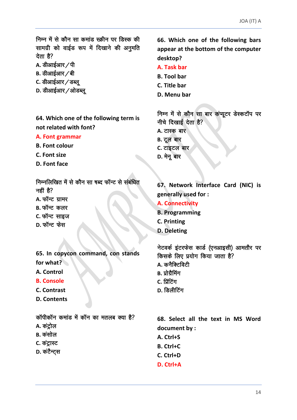निम्न में से कौन सा कमांड स्क्रीन पर डिस्क की सामग्री को वाईड रूप में दिखाने की अनुमति देता है?

- A. डीआईआर / पी
- **B.** डीआईआर ∕बी
- C. डीआईआर ∕ डब्ल्
- D. डीआईआर /ओडब्ल

64. Which one of the following term is not related with font?

#### A. Font grammar

- **B. Font colour**
- C. Font size
- D. Font face

निम्नलिखित में से कौन सा षब्द फॉन्ट से संबंधित नहीं है? A. फॉन्ट ग्रामर B. फॉन्ट कलर C. फॉन्ट साइज

 $D.$  फॉन्ट फेस

65. In copycon command, con stands for what?

- A. Control
- **B. Console**
- C. Contrast
- D. Contents

कॉपीकॉन कमांड में कॉन का मतलब क्या है?

- A. कंटोल
- **B.** कंसोल
- C. कंट्रास्ट
- D. कंटैन्ट्स

66. Which one of the following bars appear at the bottom of the computer desktop?

- A. Task bar
- **B. Tool bar**
- C. Title bar
- D. Menu bar

निम्न में से कौन सा बार कंप्यूटर डेस्कटॉप पर नीचे दिखाई देता है? A. टास्क बार **B.** टूल बार C. टाइटल बार D. मेनू बार

67. Network Interface Card (NIC) is generally used for:

- **A. Connectivity**
- **B. Programming**
- **C. Printing**
- D. Deleting

नेटवर्क इंटरफेस कार्ड (एनआइसी) आमतौर पर किसके लिए प्रयोग किया जाता है? A. कनैक्टिविटी B. प्रोग्रैमिंग

- c. प्रिंटिंग
- D. डिलीटिंग

68. Select all the text in MS Word document by : A. Ctrl+S

- **B. Ctrl+C**
- C. Ctrl+D
- $D.$  Ctrl+A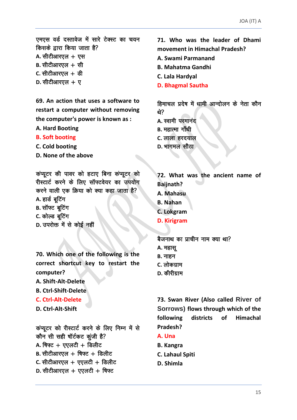एमएस वर्ड दस्तावेज में सारे टेक्स्ट का चयन किसके द्वारा किया जाता है?  $A.$  सीटीआरएल  $+$  एस  $B.$  सीटीआरएल  $+$  सी  $C.$  सीटीआरएल  $+$  डी

 $D.$  सीटीआरएल  $+$  ए

**69. An action that uses a software to restart a computer without removing the computer's power is known as :**

- **A. Hard Booting**
- **B. Soft booting**
- **C. Cold booting**
- **D. None of the above**

कप्यूटर की पावर को हटाए बिना कप्यूटर को रीस्टार्ट करने के लिए सॉफ्टवेयर का उपयोग करने वाली एक क्रिया को क्या कहा जाता है?

- A. हार्ड बटिंग
- **B.** सॉफ्ट बूटिंग
- **C.** कोल्ड बटिंग
- **D.** उपरोक्त में से कोई नहीं

**70. Which one of the following is the correct shortcut key to restart the computer? A. Shift-Alt-Delete** 

- 
- **B. Ctrl-Shift-Delete**
- **C. Ctrl-Alt-Delete**

**D. Ctrl-Alt-Shift**

कंप्यूटर को रीस्टार्ट करने के लिए निम्न में से कौन सी सही षॉर्टकट कूंजी है? **A.** षिफ्ट + एएलटी + डिलीट  $B.$  सीटीआरएल  $+$  षिफ्ट  $+$  डिलीट  $c.$  सीटीआरएल + एएलटी + डिलीट **D.** सीटीआरएल + एएलटी + षिफ्ट

**71. Who was the leader of Dhami movement in Himachal Pradesh?**

- **A. Swami Parmanand**
- **B. Mahatma Gandhi**
- **C. Lala Hardyal**
- **D. Bhagmal Sautha**

हिमाचल प्रदेष में धामी आन्दोलन के नेता कौन श्रे?

- **A.** स्वामी परमानंद
- **B. महात्मा गाँधी**
- **C.** लाला हरदयाल
- **D.** भागमल सौठा

**72. What was the ancient name of Baijnath? A. Mahasu B. Nahan C. Lokgram D. Kirigram**

बैजनाथ का प्राचीन नाम क्या था? **A.** महासू **B.** नाहन **C.** लोकग्राम **D.** कीरीग्राम

**73. Swan River (Also called River of Sorrows) flows through which of the following districts of Himachal Pradesh?**

- **A. Una**
- **B. Kangra**
- **C. Lahaul Spiti**
- **D. Shimla**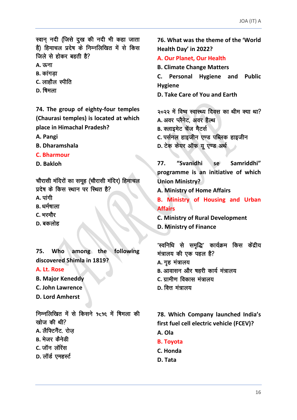स्वान् नदी (जिसे दुख की नदी भी कहा जाता है) हिमाचल प्रदेष के निम्नलिखित में से किस जिले से होकर बहती है?

**A.** ऊना

- **B.** कांगडा
- C. लाहौल स्पीति
- **D.** षिमला

74. The group of eighty-four temples (Chaurasi temples) is located at which place in Himachal Pradesh?

A. Pangi

- **B.** Dharamshala
- C. Bharmour
- D. Bakloh

चौरासी मंदिरों का समूह (चौरासी मंदिर) हिमाचल प्रदेष के किस स्थान पर स्थित है?

- $A.$  पांगी
- **B.** धर्मषाला
- C. भरमौर
- D. बकलोह

among the following 75. **Who** discovered Shimla in 1819? A. Lt. Rose **B. Major Keneddy** C. John Lawrence

**D. Lord Amherst** 

निम्नलिखित में से किसने १८१६ में षिमला की खोज की थी? A. लैफ्टिनैंट, रोज **B.** मेजर कैनेडी  $c_{\rm s}$ जॉन लॉरेंस D. लॉर्ड एमहर्स्ट

76. What was the theme of the 'World Health Day' in 2022?

# A. Our Planet, Our Health

**B. Climate Change Matters** 

C. Personal Hygiene and **Public Hygiene** 

D. Take Care of You and Earth

२०२२ में विष्व स्वास्थ्य दिवस का थीम क्या था? A. अवर प्लैनेट, अवर हैल्थ

- **B.** क्लाइमेट चेंज मैटर्स
- C. पर्सनल हाइजीन एण्ड पब्लिक हाइजीन
- D. टेक केयर ऑफ यू एण्ड अर्थ

"Svanidhi se Samriddhi" 77. programme is an initiative of which **Union Ministry?** 

A. Ministry of Home Affairs

**B. Ministry of Housing and Urban Affairs** 

**C. Ministry of Rural Development D. Ministry of Finance** 

'स्वनिधि से समुद्धि' कार्यक्रम किस केंद्रीय मंत्रालय की एक पहल है? A. गृह मंत्रालय **B.** आवासन और षहरी कार्य मंत्रालय C. ग्रामीण विकास मंत्रालय

 $D.$  वित्त मंत्रालय

78. Which Company launched India's first fuel cell electric vehicle (FCEV)? A. Ola

- **B. Tovota**
- C. Honda
- D. Tata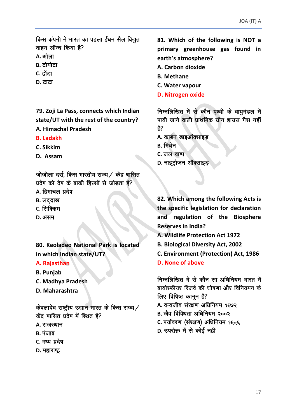किस कंपनी ने भारत का पहला ईंधन सैल विद्युत  $q$ वाहन लॉन्च किया है?

- **A.** ओला
- **B.** टोयोटा
- **C.** होंडा
- **D.** टाटा

**79. Zoji La Pass, connects which Indian state/UT with the rest of the country? A. Himachal Pradesh**

- **B. Ladakh**
- **C. Sikkim**
- **D. Assam**

जोजीला दर्रा, किस भारतीय राज्य / केंद्र षासित प्रदेष को देष के बाकी हिस्सों से जोड़ता है? A. हिमाचल प्रदेष

- 
- **B.** लददाख
- **C.** सिक्किम
- D. 3 **VH**

**80. Keoladeo National Park is located in which Indian state/UT?**

#### **A. Rajasthan**

- **B. Punjab**
- **C. Madhya Pradesh**
- **D. Maharashtra**

केवलादेव राष्ट्रीय उद्यान भारत के किस राज्य  $\angle$ केंद्र षासित प्रदेष में स्थित है?

- **A.** राजस्थान
- **B.** पंजाब
- C. मध्य प्रदेष
- **D. महाराष्ट्र**

**81. Which of the following is NOT a primary greenhouse gas found in earth's atmosphere?**

- **A. Carbon dioxide**
- **B. Methane**
- **C. Water vapour**
- **D. Nitrogen oxide**

निम्नलिखित में से कौन पृथ्वी के वायुमंडल में पायी जाने वाली प्राथमिक ग्रीन हाउस गैस नहीं ੜੇ?

- A. कार्बन डाइऑक्साइड
- **B.** मिथेन
- **C.** जल वाष्प
- **D.** नाइट्रोजन ऑक्साइड

**82. Which among the following Acts is the specific legislation for declaration and regulation of the Biosphere Reserves in India?**

- **A. Wildlife Protection Act 1972**
- **B. Biological Diversity Act, 2002**
- **C. Environment (Protection) Act, 1986**
- **D. None of above**

निम्नलिखित में से कौन सा अधिनियम भारत में बायोस्फीयर रिजर्व की घोषणा और विनियमन के लिए विषिष्ट कानून है?

- A. वन्यजीव संरक्षण अधिनियम १<del>६</del>७२
- B. जैव विविधता अधिनियम २००२
- **C.** पर्यावरण (संरक्षण) अधिनियम १६८६
- **D.** उपरोक्त में से कोई नहीं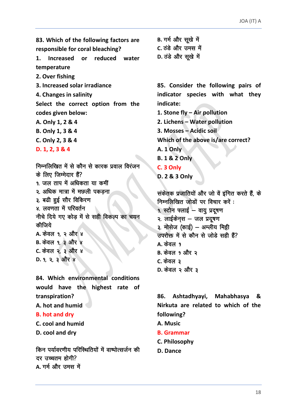83. Which of the following factors are responsible for coral bleaching?  $\mathbf{1}$ . Increased or reduced water temperature 2. Over fishing 3. Increased solar irradiance 4. Changes in salinity Select the correct option from the codes given below: A. Only 1, 2 & 4 B. Only 1, 3 & 4 C. Only 2, 3 & 4  $D. 1, 2, 3 & 4$ निम्नलिखित में से कौन से कारक प्रवाल विरंजन के लिए जिम्मेदार हैं? १. जल ताप में अधिकता या कमीं २. अधिक मात्रा में मछली पकड़ना ३. बढी हुई सौर विकिरण ४. लवणता में परिवर्तन नीचे दिये गए कोड में से सही विकल्प का चयन कीजिये A. केवल १. २ और ४ **B.** केवल १, ३ और ४

C. केवल २, ३ और ४  $D. 9. 2. 3$  और ४

84. Which environmental conditions would have the highest rate of transpiration? A, hot and humid **B.** hot and dry

C. cool and humid D. cool and drv

किन पर्यावरणीय परिस्थितियों में वाष्पोत्सर्जन की दर सच्चतम होगी? A. गर्म और उमस में

B. गर्म और सूखे में C. ठंडे और उमस में D. ठंडे और सूखे में

85. Consider the following pairs of indicator species with what they indicate: 1. Stone fly - Air pollution

2. Lichens - Water pollution

3. Mosses - Acidic soil

Which of the above is/are correct?

A. 1 Only

**B. 1 & 2 Only** 

C. 3 Only

D. 2 & 3 Only

संकेतक प्रजातियों और जो वें इंगित करते हैं, के निम्नलिखित जोड़ों पर विचार करें : 9. स्टोन फ्लाई - वायु प्रदुषण २. लाईकेन्स – जल प्रदूषण ३. मोसेज (काई) – अम्लीय मिट्टी उपरोक्त में से कौन से जोड़े सही हैं?  $\Delta$  केवल १ B. केवल १ और २ C. केवल **3** D. केवल २ और ३

86. Ashtadhyayi, Mahabhasya & Nirkuta are related to which of the following?

A. Music

- **B.** Grammar
- C. Philosophy
- D. Dance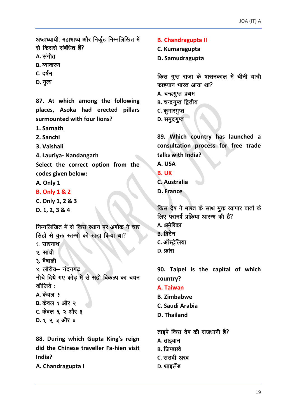अष्टाध्यायी, महाभाष्य और निर्कूट निम्नलिखित में से किससे संबंधित हैं?

- A. संगीत
- **B.** व्याकरण
- C. दर्षन
- **D.** नृत्य

87. At which among the following places, Asoka had erected pillars surmounted with four lions?

- 1. Sarnath
- 2. Sanchi
- 3. Vaishali

4. Lauriya- Nandangarh

Select the correct option from the codes given below:

A. Only 1

- **B. Only 1 & 2**
- C. Only 1, 2 & 3
- $D. 1, 2, 3 & 4$

निम्नलिखित में से किस स्थान पर अषोक ने चार सिंहों से युक्त स्तम्भों को खड़ा किया था?

- १ सारनाथ,
- २. सांची
- ३. वैषाली
- ४. लौरीय– नंदनगढ

नीचे दिये गए कोड में से सही विकल्प का चयन कीजिये :

 $A.$ केवल १ B. केवल १ और २ C. केवल १, २ और ३  $D. 9. 2. 3$  और ४

88. During which Gupta King's reign did the Chinese traveller Fa-hien visit India?

A. Chandragupta I

#### **B. Chandragupta II**

- C. Kumaragupta
- D. Samudragupta

किस गुप्त राजा के षासनकाल में चीनी यात्री फाह्यान भारत आया था?

- A. चन्द्रगुप्त प्रथम
- **B.** चन्द्रगुप्त द्वितीय
- C. कुमारगुप्त
- D. समुद्रगुप्त

89. Which country has launched a consultation process for free trade talks with India?

- A. USA
- **B. UK**
- C. Australia
- D. France

किस देष ने भारत के साथ मुक्त व्यापार वार्ता के लिए परामर्ष प्रक्रिया आरम्भ की है? **A.** अमेरिका **B.** ब्रिटेन C. ऑस्ट्रेलिया  $D.$ फ्रांस

90. Taipei is the capital of which country?

- A. Taiwan
- **B.** Zimbabwe
- C. Saudi Arabia
- D. Thailand

ताइपे किस देष की राजधानी है?

- A. ताइवान
- **B.** जिम्बाब्वे
- C. सउदी अरब
- D. थाइलैंड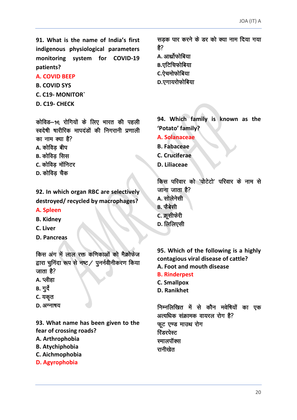91. What is the name of India's first indigenous physiological parameters monitoring system for COVID-19 patients?

#### **A. COVID BEEP**

**B. COVID SYS** 

**C. C19- MONITOR'** 

D. C19- CHECK

कोविड़-9€ रोगियों के लिए भारत की पहली स्वदेषी षारीरिक मापदंडों की निगरानी प्रणाली का नाम क्या है?

- A. कोविड बीप
- **B.** कोविड सिस
- C. कोविड मॉनिटर
- D. कोविड चैक

92. In which organ RBC are selectively destroved/recycled by macrophages?

## A. Spleen

- **B. Kidney**
- C. Liver
- D. Pancreas

किस अंग में लाल रक्त कणिकाओं को मैक्रोफेज द्वारा चूनिंदा रूप से नष्ट / पूनर्नवीनीकरण किया जाता है?

- **A.** प्लीहा
- **B.** गुर्दे
- C. यकृत
- D. अग्नाषय

93. What name has been given to the fear of crossing roads?

- A. Arthrophobia
- **B.** Atvchiphobia
- C. Aichmophobia
- D. Agyrophobia

सड़क पार करने के डर को क्या नाम दिया गया 쑭? A. आर्थ्रोफोबिया **B.एटिचिफोबिया** C.ऐचमोफोबिया D.एगायरोफोबिया

94. Which family is known as the 'Potato' family?

- A. Solanaceae
- **B. Fabaceae**
- C. Cruciferae
- D. Liliaceae

किस परिवार को 'पोटेटो' परिवार के नाम से जाना जाता है?

- **A.** सोलेनेसी
- B. फेबेसी
- C. क्रूसीफेरी
- D. लिलिएसी

95. Which of the following is a highly contagious viral disease of cattle? A. Foot and mouth disease

- **B. Rinderpest**
- **C. Smallpox**
- D. Ranikhet

निम्नलिखित में से कौन मवेषियों का एक अत्यधिक संक्रामक वायरल रोग है? फूट एण्ड माउथ रोग रिंडरपेस्ट स्मालपॉक्स रानीखेत